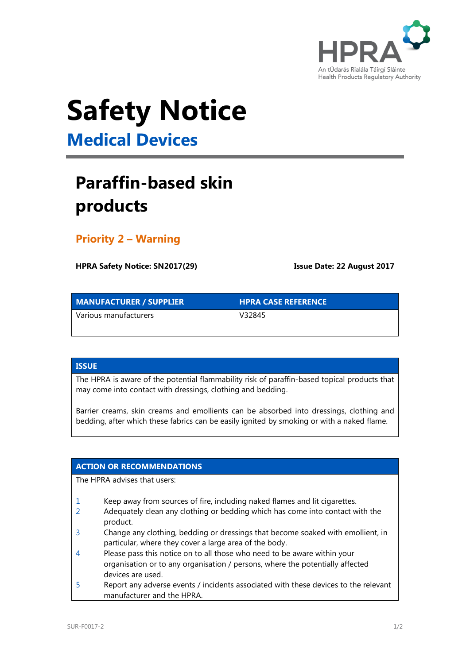

# **Safety Notice**

**Medical Devices**

## **Paraffin-based skin products**

### **Priority 2 – Warning**

**HPRA Safety Notice: SN2017(29) Issue Date: 22 August 2017**

| <b>MANUFACTURER / SUPPLIER</b> | <b>HPRA CASE REFERENCE</b> |
|--------------------------------|----------------------------|
| l Various manufacturers        | V32845                     |

#### **ISSUE**

The HPRA is aware of the potential flammability risk of paraffin-based topical products that may come into contact with dressings, clothing and bedding.

Barrier creams, skin creams and emollients can be absorbed into dressings, clothing and bedding, after which these fabrics can be easily ignited by smoking or with a naked flame.

#### **ACTION OR RECOMMENDATIONS**

The HPRA advises that users:

- 1 Keep away from sources of fire, including naked flames and lit cigarettes.
- 2 Adequately clean any clothing or bedding which has come into contact with the product.
- 3 Change any clothing, bedding or dressings that become soaked with emollient, in particular, where they cover a large area of the body.
- 4 Please pass this notice on to all those who need to be aware within your organisation or to any organisation / persons, where the potentially affected devices are used. 5 Report any adverse events / incidents associated with these devices to the relevant
- manufacturer and the HPRA.